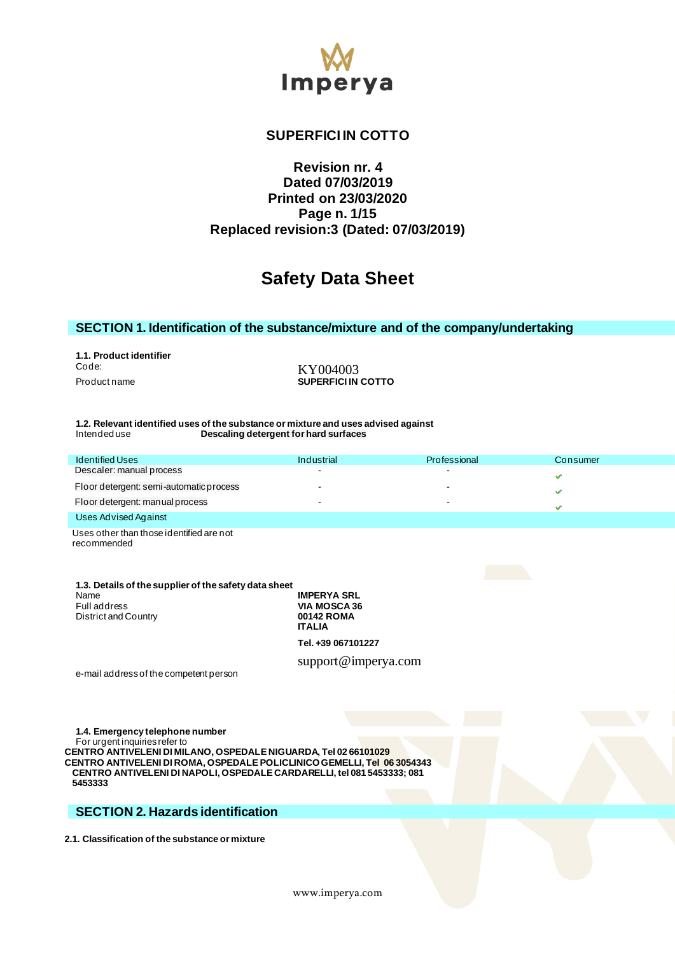

# **SUPERFICI IN COTTO**

# **Revision nr. 4 Dated 07/03/2019 Printed on 23/03/2020 Page n. 1/15 Replaced revision:3 (Dated: 07/03/2019)**

# **Safety Data Sheet**

### **SECTION 1. Identification of the substance/mixture and of the company/undertaking**

**1.1. Product identifier** Code: KY004003<br>Product name example and the surface of the SUPERFICIIN

**SUPERFICI IN COTTO** 

#### **1.2. Relevant identified uses of the substance or mixture and uses advised against Descaling detergent for hard surfaces**

| <b>Identified Uses</b>                  | Industrial | Professional | Consumer |  |
|-----------------------------------------|------------|--------------|----------|--|
| Descaler: manual process                |            |              |          |  |
| Floor detergent: semi-automatic process |            |              |          |  |
| Floor detergent: manual process         |            |              |          |  |
| الممتحدة الممحت بالمراحم والمحال        |            |              |          |  |

#### Uses Advised Against

Uses other than those identified are not recommended

| 1.3. Details of the supplier of the safety data sheet |            |
|-------------------------------------------------------|------------|
| Name                                                  | <b>IMP</b> |
| Full address                                          | <b>VIA</b> |
| District and Country                                  | 001        |
|                                                       | <b>ITA</b> |

**PERYA SRL MOSCA 36 42 ROMA ITALIA Tel. +39 067101227** 

support@imperya.com

e-mail address of the competent person

**1.4. Emergency telephone number** For urgent inquiries refer to **CENTRO ANTIVELENI DI MILANO, OSPEDALE NIGUARDA, Tel 02 66101029 CENTRO ANTIVELENI DI ROMA, OSPEDALE POLICLINICO GEMELLI, Tel 06 3054343 CENTRO ANTIVELENI DI NAPOLI, OSPEDALE CARDARELLI, tel 081 5453333; 081 5453333** 

# **SECTION 2. Hazards identification**

**2.1. Classification of the substance or mixture**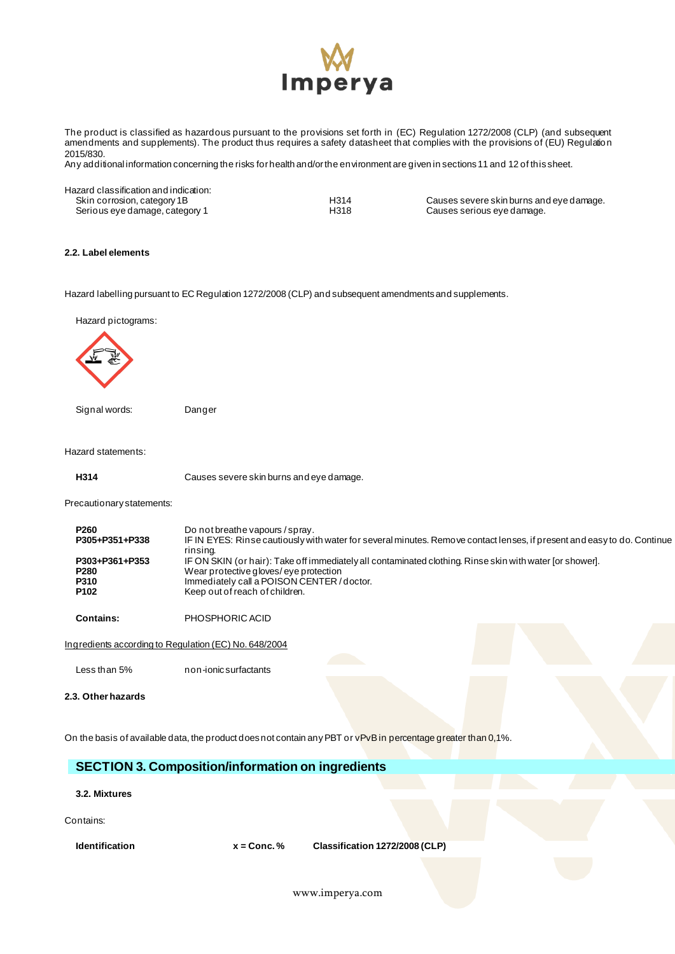

The product is classified as hazardous pursuant to the provisions set forth in (EC) Regulation 1272/2008 (CLP) (and subsequent amendments and supplements). The product thus requires a safety datasheet that complies with the provisions of (EU) Regulation 2015/830.

Any additional information concerning the risks for health and/or the environment are given in sections 11 and 12 of this sheet.

Hazard classification and indication:<br>Skin corrosion, category 1B Serious eye damage, category 1

H314 Causes severe skin burns and eye damage.<br>H318 Causes serious eye damage.

### **2.2. Label elements**

Hazard labelling pursuant to EC Regulation 1272/2008 (CLP) and subsequent amendments and supplements.

Hazard pictograms:



Signal words: Danger

Hazard statements:

**H314** Causes severe skin burns and eye damage.

Precautionary statements:

| <b>P260</b><br>P305+P351+P338                                         | Do not breathe vapours / spray.<br>IF IN EYES: Rinse cautiously with water for several minutes. Remove contact lenses, if present and easy to do. Continue<br>rinsing.                                                          |
|-----------------------------------------------------------------------|---------------------------------------------------------------------------------------------------------------------------------------------------------------------------------------------------------------------------------|
| P303+P361+P353<br>P <sub>280</sub><br><b>P310</b><br>P <sub>102</sub> | IF ON SKIN (or hair): Take off immediately all contaminated clothing. Rinse skin with water [or shower].<br>Wear protective gloves/eye protection<br>Immediately call a POISON CENTER/doctor.<br>Keep out of reach of children. |
|                                                                       |                                                                                                                                                                                                                                 |

**Contains:** PHOSPHORIC ACID

Ingredients according to Regulation (EC) No. 648/2004

Less than 5% non-ionic surfactants

**2.3. Other hazards**

On the basis of available data, the product does not contain any PBT or vPvB in percentage greater than 0,1%.

# **SECTION 3. Composition/information on ingredients**

**3.2. Mixtures**

Contains:

**Identification x = Conc. % Classification 1272/2008 (CLP)**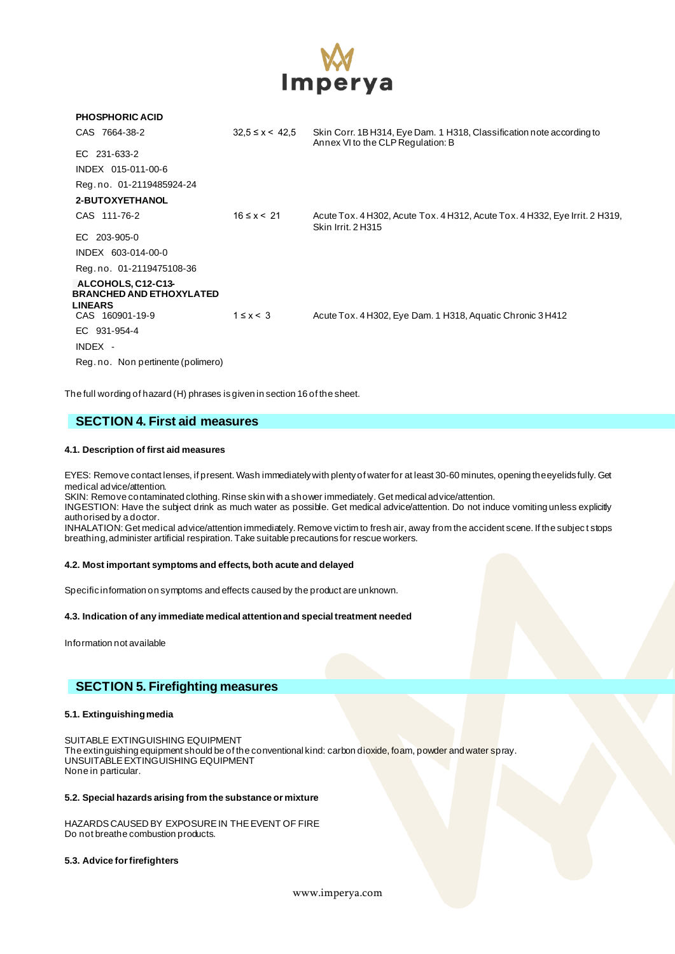

| <b>PHOSPHORIC ACID</b>                                                  |                       |                                                                                                            |
|-------------------------------------------------------------------------|-----------------------|------------------------------------------------------------------------------------------------------------|
| CAS 7664-38-2                                                           | $32.5 \le x \le 42.5$ | Skin Corr. 1B H314, Eye Dam. 1 H318, Classification note according to<br>Annex VI to the CLP Regulation: B |
| EC 231-633-2                                                            |                       |                                                                                                            |
| INDEX 015-011-00-6                                                      |                       |                                                                                                            |
| Reg.no. 01-2119485924-24                                                |                       |                                                                                                            |
| 2-BUTOXYETHANOL                                                         |                       |                                                                                                            |
| CAS 111-76-2                                                            | $16 \le x \le 21$     | Acute Tox. 4 H302, Acute Tox. 4 H312, Acute Tox. 4 H332, Eye Irrit. 2 H319,<br>Skin Irrit, 2H315           |
| EC 203-905-0                                                            |                       |                                                                                                            |
| INDEX 603-014-00-0                                                      |                       |                                                                                                            |
| Reg.no. 01-2119475108-36                                                |                       |                                                                                                            |
| ALCOHOLS, C12-C13-<br><b>BRANCHED AND ETHOXYLATED</b><br><b>LINEARS</b> |                       |                                                                                                            |
| CAS 160901-19-9                                                         | $1 \leq x < 3$        | Acute Tox. 4 H302, Eye Dam. 1 H318, Aquatic Chronic 3 H412                                                 |
| EC 931-954-4                                                            |                       |                                                                                                            |
| INDEX -                                                                 |                       |                                                                                                            |
| Reg. no. Non pertinente (polimero)                                      |                       |                                                                                                            |

The full wording of hazard (H) phrases is given in section 16 of the sheet.

# **SECTION 4. First aid measures**

### **4.1. Description of first aid measures**

EYES: Remove contact lenses, if present. Wash immediately with plenty of water for at least 30-60 minutes, opening the eyelids fully. Get medical advice/attention.

SKIN: Remove contaminated clothing. Rinse skin with a shower immediately. Get medical advice/attention.

INGESTION: Have the subject drink as much water as possible. Get medical advice/attention. Do not induce vomiting unless explicitly authorised by a doctor.

INHALATION: Get medical advice/attention immediately. Remove victim to fresh air, away from the accident scene. If the subjec t stops breathing, administer artificial respiration. Take suitable precautions for rescue workers.

### **4.2. Most important symptoms and effects, both acute and delayed**

Specific information on symptoms and effects caused by the product are unknown.

#### **4.3. Indication of any immediate medical attention and special treatment needed**

Information not available

### **SECTION 5. Firefighting measures**

### **5.1. Extinguishing media**

SUITABLE EXTINGUISHING EQUIPMENT The extinguishing equipment should be of the conventional kind: carbon dioxide, foam, powder and water spray. UNSUITABLE EXTINGUISHING EQUIPMENT None in particular.

### **5.2. Special hazards arising from the substance or mixture**

HAZARDS CAUSED BY EXPOSURE IN THE EVENT OF FIRE Do not breathe combustion products.

#### **5.3. Advice for firefighters**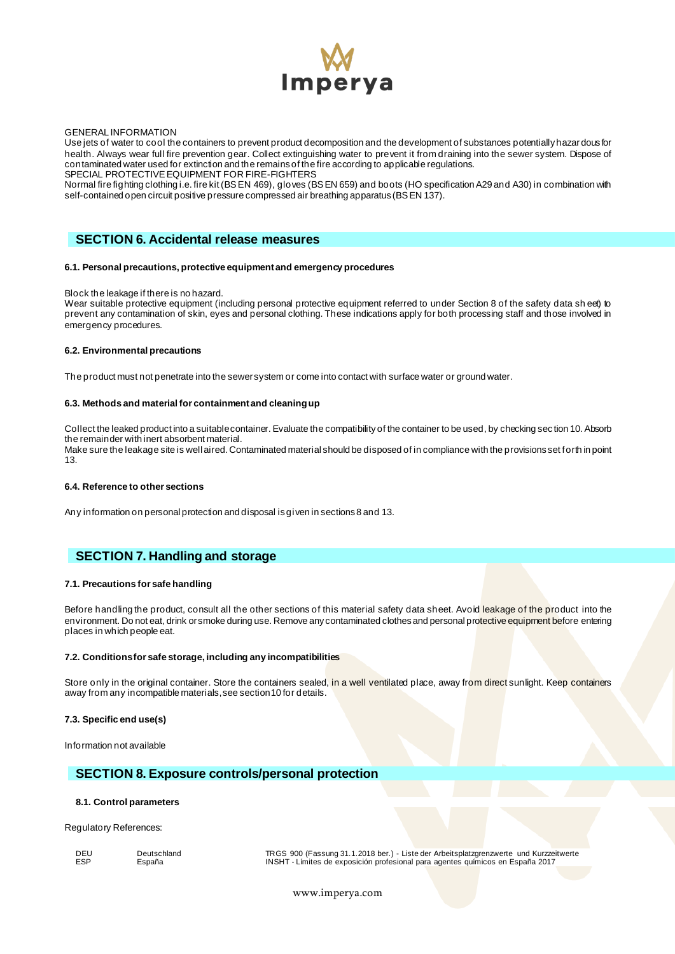

#### GENERAL INFORMATION

Use jets of water to cool the containers to prevent product decomposition and the development of substances potentially hazar dous for health. Always wear full fire prevention gear. Collect extinguishing water to prevent it from draining into the sewer system. Dispose of contaminated water used for extinction and the remains of the fire according to applicable regulations. SPECIAL PROTECTIVE EQUIPMENT FOR FIRE-FIGHTERS

Normal fire fighting clothing i.e. fire kit (BS EN 469), gloves (BS EN 659) and boots (HO specification A29 and A30) in combination with self-contained open circuit positive pressure compressed air breathing apparatus (BS EN 137).

### **SECTION 6. Accidental release measures**

#### **6.1. Personal precautions, protective equipment and emergency procedures**

#### Block the leakage if there is no hazard.

Wear suitable protective equipment (including personal protective equipment referred to under Section 8 of the safety data sh eet) to prevent any contamination of skin, eyes and personal clothing. These indications apply for both processing staff and those involved in emergency procedures.

#### **6.2. Environmental precautions**

The product must not penetrate into the sewer system or come into contact with surface water or ground water.

#### **6.3. Methods and material for containment and cleaning up**

Collect the leaked product into a suitable container. Evaluate the compatibility of the container to be used, by checking sec tion 10. Absorb the remainder with inert absorbent material.

Make sure the leakage site is well aired. Contaminated material should be disposed of in compliance with the provisions set forth in point 13.

#### **6.4. Reference to other sections**

Any information on personal protection and disposal is given in sections 8 and 13.

### **SECTION 7. Handling and storage**

#### **7.1. Precautions for safe handling**

Before handling the product, consult all the other sections of this material safety data sheet. Avoid leakage of the product into the environment. Do not eat, drink or smoke during use. Remove any contaminated clothes and personal protective equipment before entering places in which people eat.

#### **7.2. Conditions for safe storage, including any incompatibilities**

Store only in the original container. Store the containers sealed, in a well ventilated place, away from direct sunlight. Keep containers away from any incompatible materials, see section 10 for details.

#### **7.3. Specific end use(s)**

Information not available

### **SECTION 8. Exposure controls/personal protection**

#### **8.1. Control parameters**

Regulatory References:

DEU Deutschland TRGS 900 (Fassung 31.1.2018 ber.) - Liste der Arbeitsplatzgrenzwerte und Kurzzeitwerte<br>ESP España 2017 - INSHT - Límites de exposición profesional para agentes químicos en España 2017 ESP España INSHT - Límites de exposición profesional para agentes químicos en España 2017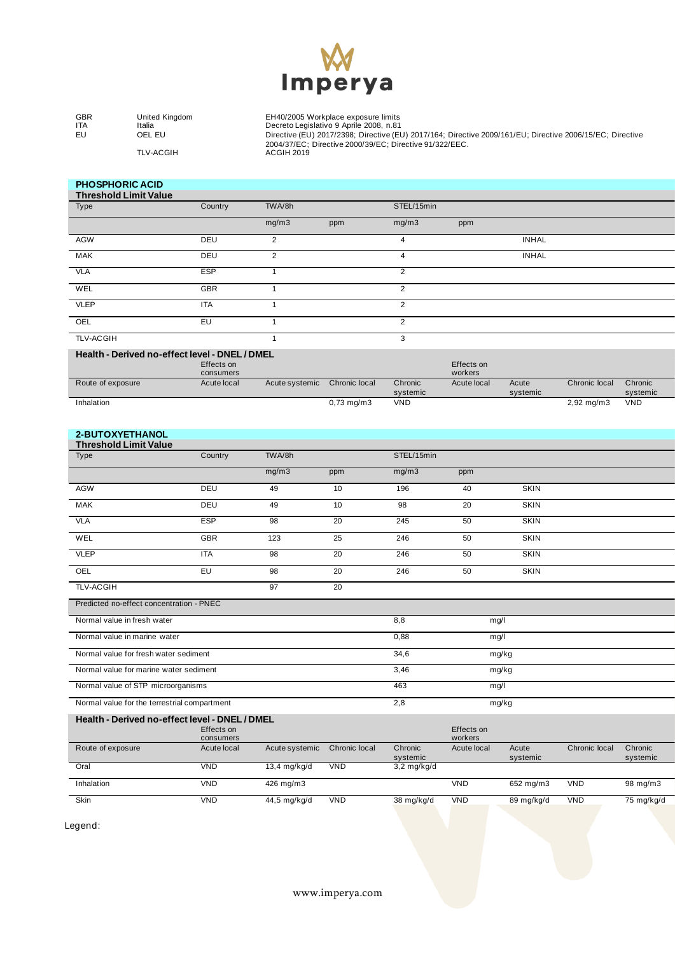

GBR United Kingdom EH40/2005 Workplace exposure limits ITA Italia Decreto Legislativo 9 Aprile 2008, n.81 EU OEL EU Directive (EU) 2017/2398; Directive (EU) 2017/164; Directive 2009/161/EU; Directive 2006/15/EC; Directive 2004/37/EC; Directive 2000/39/EC; Directive 91/322/EEC. TLV-ACGIH ACGIH 2019

#### **PHOSPHORIC ACID Threshold Limit Value**

| Threshold Limit value |            |        |     |                |              |  |
|-----------------------|------------|--------|-----|----------------|--------------|--|
| Type                  | Country    | TWA/8h |     | STEL/15min     |              |  |
|                       |            | mg/m3  | ppm | mg/m3          | ppm          |  |
| AGW                   | DEU        | 2      |     | 4              | <b>INHAL</b> |  |
| <b>MAK</b>            | DEU        | 2      |     | 4              | <b>INHAL</b> |  |
| <b>VLA</b>            | <b>ESP</b> |        |     | $\overline{2}$ |              |  |
| WEL                   | GBR        |        |     | $\overline{2}$ |              |  |
| <b>VLEP</b>           | <b>ITA</b> |        |     | $\mathcal{P}$  |              |  |
| OEL                   | EU         |        |     | $\overline{2}$ |              |  |
| <b>TLV-ACGIH</b>      |            |        |     | 3              |              |  |

### **Health - Derived no-effect level - DNEL / DMEL**

|                   | Effects on<br>consumers |                |                 |          | Effects on<br>workers |          |                        |            |
|-------------------|-------------------------|----------------|-----------------|----------|-----------------------|----------|------------------------|------------|
| Route of exposure | Acute local             | Acute systemic | Chronic local   | Chronic  | Acute local           | Acute    | Chronic local          | Chronic    |
|                   |                         |                |                 | systemic |                       | systemic |                        | systemic   |
| Inhalation        |                         |                | $0.73$ mg/m $3$ | VND      |                       |          | $2,92 \,\mathrm{mg/m}$ | <b>VND</b> |

# **2-BUTOXYETHANOL**

| <b>Threshold Limit Value</b> |            |        |     |            |     |             |  |
|------------------------------|------------|--------|-----|------------|-----|-------------|--|
| Type                         | Country    | TWA/8h |     | STEL/15min |     |             |  |
|                              |            | mg/m3  | ppm | mg/m3      | ppm |             |  |
| AGW                          | DEU        | 49     | 10  | 196        | 40  | <b>SKIN</b> |  |
| MAK                          | DEU        | 49     | 10  | 98         | 20  | <b>SKIN</b> |  |
| VLA                          | <b>ESP</b> | 98     | 20  | 245        | 50  | <b>SKIN</b> |  |
| WEL                          | <b>GBR</b> | 123    | 25  | 246        | 50  | <b>SKIN</b> |  |
| <b>VLEP</b>                  | <b>ITA</b> | 98     | 20  | 246        | 50  | <b>SKIN</b> |  |
| OEL                          | EU         | 98     | 20  | 246        | 50  | SKIN        |  |
| <b>TLV-ACGIH</b>             |            | 97     | 20  |            |     |             |  |

| Predicted no-effect concentration - PNEC     |      |       |  |
|----------------------------------------------|------|-------|--|
| Normal value in fresh water                  | 8,8  | mg/l  |  |
| Normal value in marine water                 | 0,88 | mg/l  |  |
| Normal value for fresh water sediment        | 34,6 | mg/kg |  |
| Normal value for marine water sediment       | 3,46 | mg/kg |  |
| Normal value of STP microorganisms           | 463  | mg/l  |  |
| Normal value for the terrestrial compartment | 2,8  | mg/kg |  |

| Health - Derived no-effect level - DNEL / DMEL |             |                |               |                       |             |            |               |            |
|------------------------------------------------|-------------|----------------|---------------|-----------------------|-------------|------------|---------------|------------|
|                                                | Effects on  |                |               |                       | Effects on  |            |               |            |
|                                                | consumers   |                |               |                       | workers     |            |               |            |
| Route of exposure                              | Acute local | Acute systemic | Chronic local | Chronic               | Acute local | Acute      | Chronic local | Chronic    |
|                                                |             |                |               | systemic              |             | systemic   |               | systemic   |
| Oral                                           | VND         | 13,4 mg/kg/d   | VND           | $3.2 \text{ mg/kg/d}$ |             |            |               |            |
| Inhalation                                     | VND         | 426 mg/m3      |               |                       | <b>VND</b>  | 652 mg/m3  | VND           | 98 mg/m3   |
| <b>Skin</b>                                    | <b>VND</b>  | 44,5 mg/kg/d   | VND           | 38 mg/kg/d            | VND         | 89 mg/kg/d | VND           | 75 mg/kg/d |

Legend: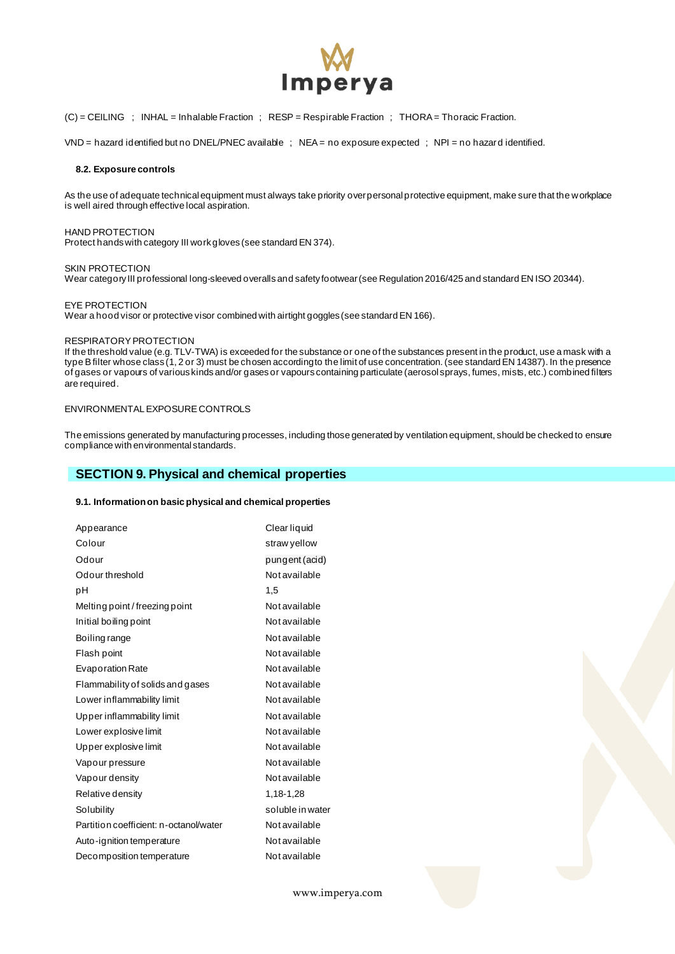

(C) = CEILING ; INHAL = Inhalable Fraction ; RESP = Respirable Fraction ; THORA = Thoracic Fraction.

VND = hazard identified but no DNEL/PNEC available ; NEA = no exposure expected ; NPI = no hazard identified.

#### **8.2. Exposure controls**

As the use of adequate technical equipment must always take priority over personal protective equipment, make sure that the workplace is well aired through effective local aspiration.

#### HAND PROTECTION

Protect hands with category III work gloves (see standard EN 374).

#### SKIN PROTECTION

Wear category III professional long-sleeved overalls and safety footwear (see Regulation 2016/425 and standard EN ISO 20344).

#### EYE PROTECTION

Wear a hood visor or protective visor combined with airtight goggles (see standard EN 166).

#### RESPIRATORY PROTECTION

If the threshold value (e.g. TLV-TWA) is exceeded for the substance or one of the substances present in the product, use a mask with a type B filter whose class (1, 2 or 3) must be chosen according to the limit of use concentration. (see standard EN 14387). In the presence of gases or vapours of various kinds and/or gases or vapours containing particulate (aerosol sprays, fumes, mists, etc.) combined filters are required.

### ENVIRONMENTAL EXPOSURE CONTROLS

The emissions generated by manufacturing processes, including those generated by ventilation equipment, should be checked to ensure compliance with environmental standards.

### **SECTION 9. Physical and chemical properties**

#### **9.1. Information on basic physical and chemical properties**

| Appearance                             | Clear liquid     |
|----------------------------------------|------------------|
| Colour                                 | straw yellow     |
| Odour                                  | pungent (acid)   |
| Odour threshold                        | Not available    |
| pН                                     | 1.5              |
| Melting point / freezing point         | Not available    |
| Initial boiling point                  | Not available    |
| Boiling range                          | Not available    |
| Flash point                            | Not available    |
| <b>Evaporation Rate</b>                | Not available    |
| Flammability of solids and gases       | Not available    |
| Lower inflammability limit             | Not available    |
| Upper inflammability limit             | Not available    |
| Lower explosive limit                  | Not available    |
| Upper explosive limit                  | Not available    |
| Vapour pressure                        | Not available    |
| Vapour density                         | Not available    |
| Relative density                       | 1.18-1.28        |
| Solubility                             | soluble in water |
| Partition coefficient: n-octanol/water | Not available    |
| Auto-ignition temperature              | Not available    |
| Decomposition temperature              | Not available    |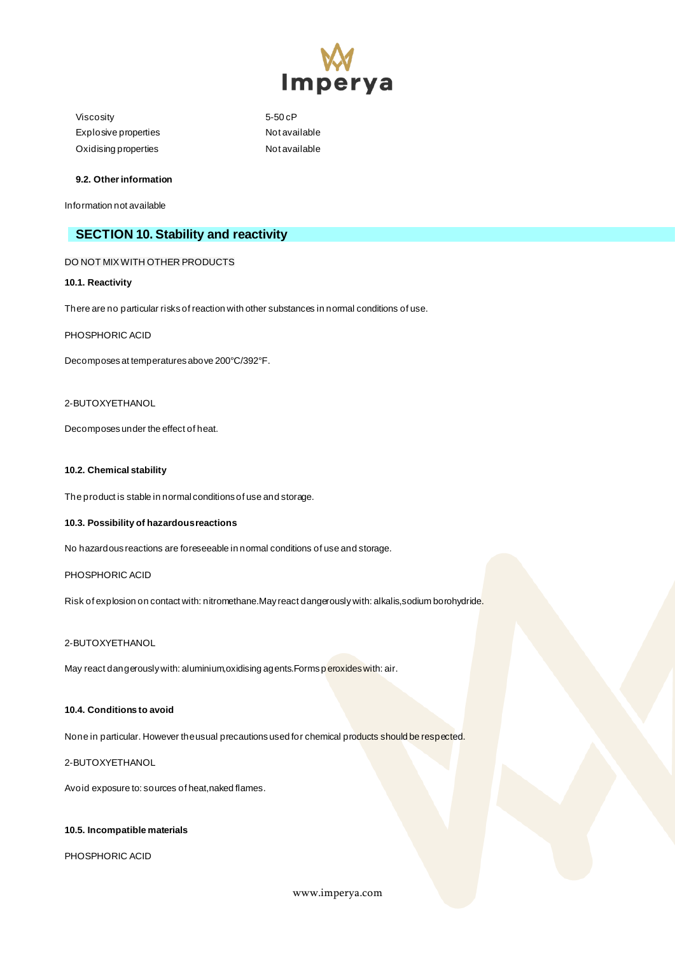

Viscosity 5-50 cP Explosive properties Not available Oxidising properties Not available

### **9.2. Other information**

Information not available

# **SECTION 10. Stability and reactivity**

### DO NOT MIX WITH OTHER PRODUCTS

### **10.1. Reactivity**

There are no particular risks of reaction with other substances in normal conditions of use.

### PHOSPHORIC ACID

Decomposes at temperatures above 200°C/392°F.

### 2-BUTOXYETHANOL

Decomposes under the effect of heat.

#### **10.2. Chemical stability**

The product is stable in normal conditions of use and storage.

### **10.3. Possibility of hazardous reactions**

No hazardous reactions are foreseeable in normal conditions of use and storage.

### PHOSPHORIC ACID

Risk of explosion on contact with: nitromethane.May react dangerously with: alkalis,sodium borohydride.

### 2-BUTOXYETHANOL

May react dangerously with: aluminium, oxidising agents. Forms peroxides with: air.

### **10.4. Conditions to avoid**

None in particular. However the usual precautions used for chemical products should be respected.

### 2-BUTOXYETHANOL

Avoid exposure to: sources of heat,naked flames.

### **10.5. Incompatible materials**

PHOSPHORIC ACID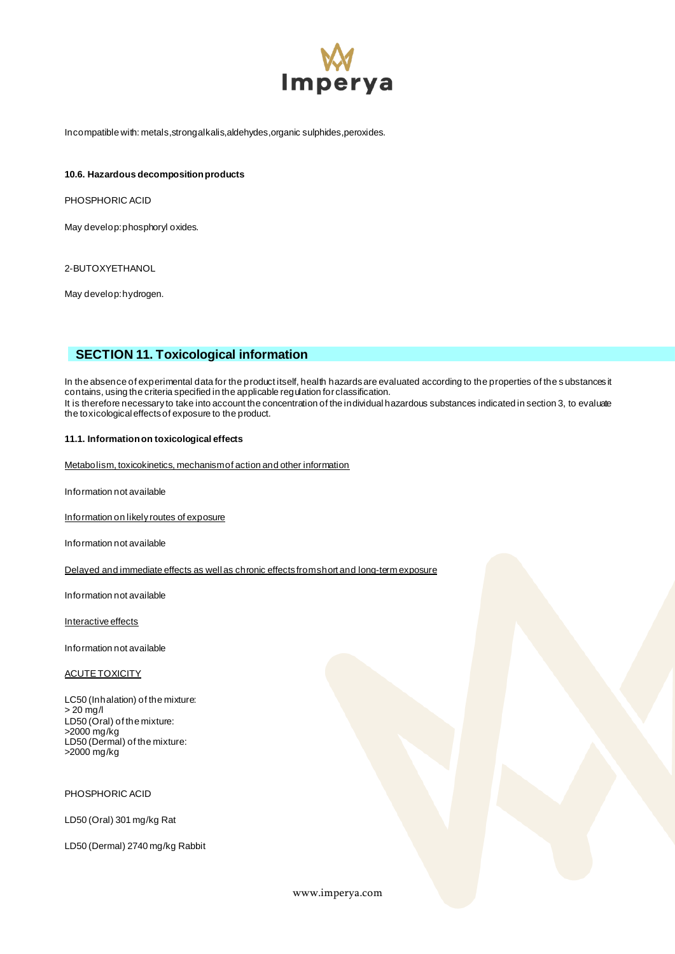

Incompatible with: metals, strong alkalis, aldehydes, organic sulphides, peroxides.

#### **10.6. Hazardous decomposition products**

PHOSPHORIC ACID

May develop: phosphoryl oxides.

2-BUTOXYETHANOL

May develop: hydrogen.

# **SECTION 11. Toxicological information**

In the absence of experimental data for the product itself, health hazards are evaluated according to the properties of the substances it contains, using the criteria specified in the applicable regulation for classification. It is therefore necessary to take into account the concentration of the individual hazardous substances indicated in section 3, to evaluate the toxicological effects of exposure to the product.

### **11.1. Information on toxicological effects**

Metabolism, toxicokinetics, mechanism of action and other information

Information not available

Information on likely routes of exposure

Information not available

Delayed and immediate effects as well as chronic effects from short and long-term exposure

Information not available

Interactive effects

Information not available

#### ACUTE TOXICITY

LC50 (Inhalation) of the mixture: > 20 mg/l LD50 (Oral) of the mixture: >2000 mg/kg LD50 (Dermal) of the mixture: >2000 mg/kg

PHOSPHORIC ACID

LD50 (Oral) 301 mg/kg Rat

LD50 (Dermal) 2740 mg/kg Rabbit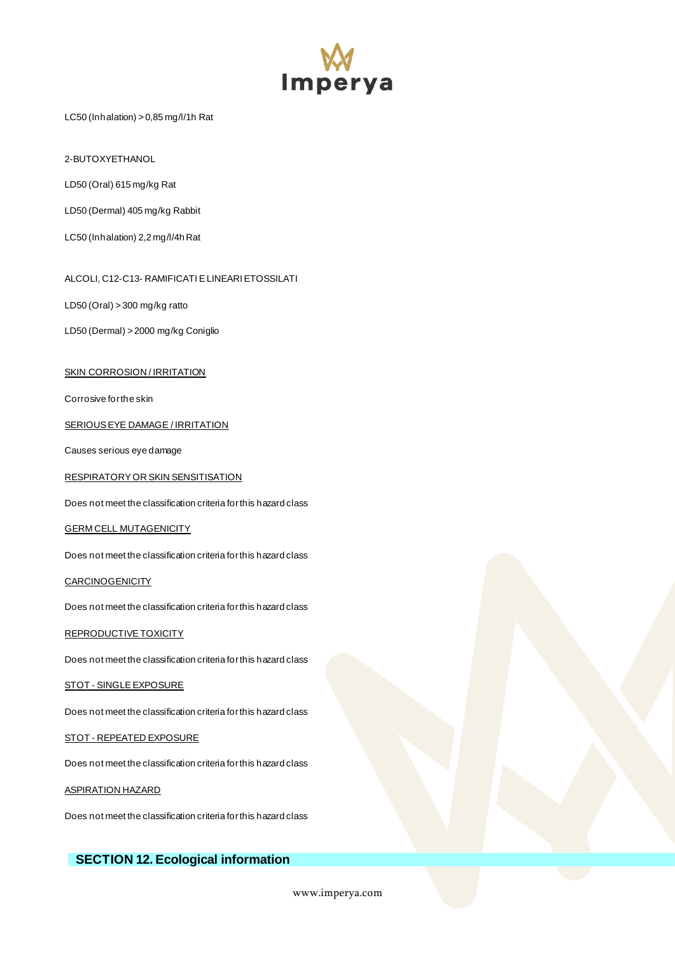

LC50 (Inhalation) > 0,85 mg/l/1h Rat

2-BUTOXYETHANOL

LD50 (Oral) 615 mg/kg Rat

LD50 (Dermal) 405 mg/kg Rabbit

LC50 (Inhalation) 2,2 mg/l/4h Rat

ALCOLI, C12-C13- RAMIFICATI E LINEARI ETOSSILATI

LD50 (Oral) > 300 mg/kg ratto

LD50 (Dermal) > 2000 mg/kg Coniglio

#### **SKIN CORROSION / IRRITATION**

Corrosive for the skin

SERIOUS EYE DAMAGE / IRRITATION

Causes serious eye damage

RESPIRATORY OR SKIN SENSITISATION

Does not meet the classification criteria for this hazard class

GERM CELL MUTAGENICITY

Does not meet the classification criteria for this hazard class

**CARCINOGENICITY** 

Does not meet the classification criteria for this hazard class

REPRODUCTIVE TOXICITY

Does not meet the classification criteria for this hazard class

#### STOT - SINGLE EXPOSURE

Does not meet the classification criteria for this hazard class

STOT - REPEATED EXPOSURE

Does not meet the classification criteria for this hazard class

ASPIRATION HAZARD

Does not meet the classification criteria for this hazard class

# **SECTION 12. Ecological information**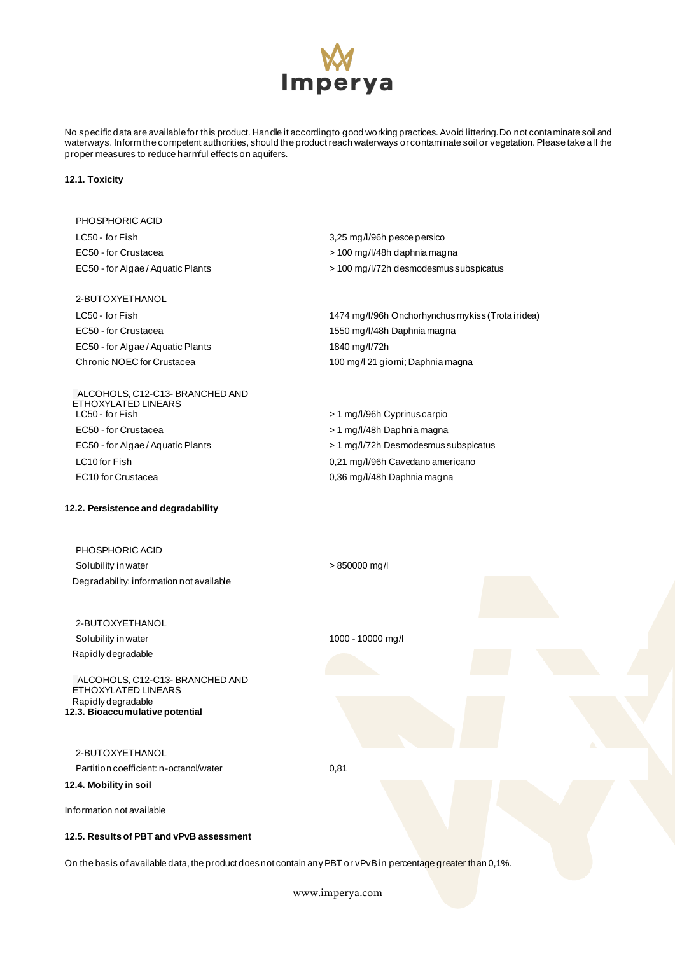

No specific data are available for this product. Handle it according to good working practices. Avoid littering. Do not contaminate soil and waterways. Inform the competent authorities, should the product reach waterways or contaminate soil or vegetation. Please take all the proper measures to reduce harmful effects on aquifers.

### **12.1. Toxicity**

| PHOSPHORIC ACID                                                          |                                                                                                               |
|--------------------------------------------------------------------------|---------------------------------------------------------------------------------------------------------------|
| LC50 - for Fish                                                          | 3,25 mg/l/96h pesce persico                                                                                   |
| EC50 - for Crustacea                                                     | > 100 mg/l/48h daphnia magna                                                                                  |
| EC50 - for Algae / Aquatic Plants                                        | > 100 mg/l/72h desmodesmus subspicatus                                                                        |
| 2-BUTOXYETHANOL                                                          |                                                                                                               |
| LC50 - for Fish                                                          | 1474 mg/l/96h Onchorhynchus mykiss (Trota iridea)                                                             |
| EC50 - for Crustacea                                                     | 1550 mg/l/48h Daphnia magna                                                                                   |
| EC50 - for Algae / Aquatic Plants                                        | 1840 mg/l/72h                                                                                                 |
| Chronic NOEC for Crustacea                                               | 100 mg/l 21 giomi; Daphnia magna                                                                              |
| ALCOHOLS, C12-C13-BRANCHED AND<br>ETHOXYLATED LINEARS<br>LC50 - for Fish | > 1 mg/l/96h Cyprinus carpio                                                                                  |
| EC50 - for Crustacea                                                     | > 1 mg/l/48h Daphnia magna                                                                                    |
| EC50 - for Algae / Aquatic Plants                                        | > 1 mg/l/72h Desmodesmus subspicatus                                                                          |
| LC10 for Fish                                                            | 0,21 mg/l/96h Cavedano americano                                                                              |
| EC10 for Crustacea                                                       | 0,36 mg/l/48h Daphnia magna                                                                                   |
| 12.2. Persistence and degradability                                      |                                                                                                               |
| PHOSPHORIC ACID                                                          |                                                                                                               |
| Solubility in water                                                      | $> 850000$ mg/l                                                                                               |
| Degradability: information not available                                 |                                                                                                               |
| 2-BUTOXYETHANOL                                                          |                                                                                                               |
| Solubility in water                                                      | 1000 - 10000 mg/l                                                                                             |
| Rapidly degradable                                                       |                                                                                                               |
| ALCOHOLS, C12-C13-BRANCHED AND<br>ETHOXYLATED LINEARS                    |                                                                                                               |
| Rapidly degradable<br>12.3. Bioaccumulative potential                    |                                                                                                               |
| 2-BUTOXYETHANOL                                                          |                                                                                                               |
| Partition coefficient: n-octanol/water                                   | 0,81                                                                                                          |
| 12.4. Mobility in soil                                                   |                                                                                                               |
| Information not available                                                |                                                                                                               |
| 12.5. Results of PBT and vPvB assessment                                 |                                                                                                               |
|                                                                          | On the basis of available data, the product does not contain any PBT or vPvB in percentage greater than 0,1%. |
|                                                                          |                                                                                                               |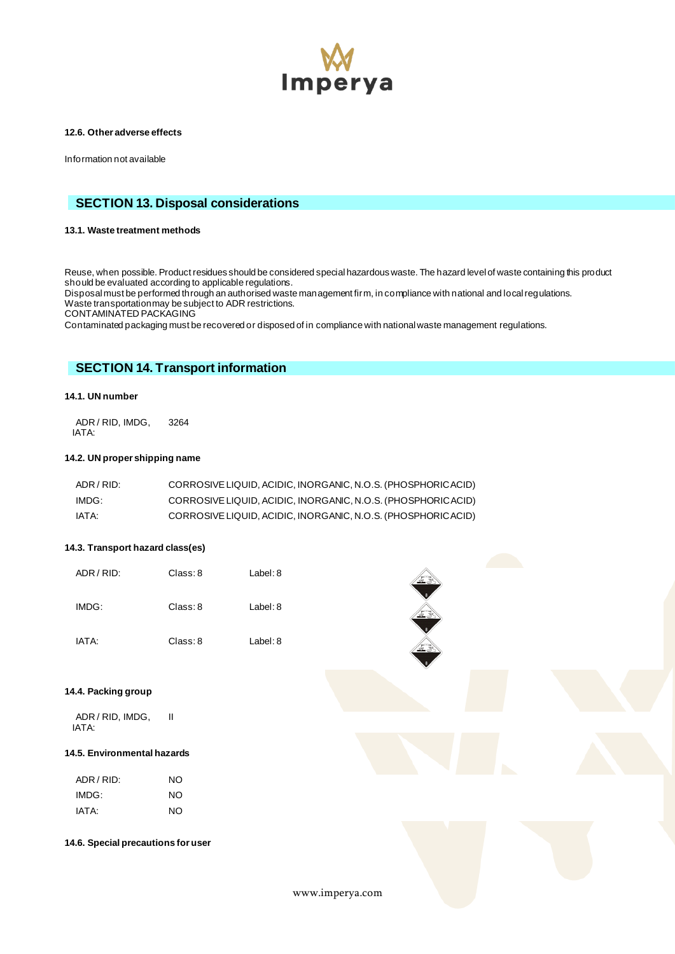

### **12.6. Other adverse effects**

Information not available

# **SECTION 13. Disposal considerations**

### **13.1. Waste treatment methods**

Reuse, when possible. Product residues should be considered special hazardous waste. The hazard level of waste containing this product should be evaluated according to applicable regulations.

Disposal must be performed through an authorised waste management firm, in compliance with national and local regulations. Waste transportation may be subject to ADR restrictions.

CONTAMINATED PACKAGING

Contaminated packaging must be recovered or disposed of in compliance with national waste management regulations.

# **SECTION 14. Transport information**

### **14.1. UN number**

ADR / RID, IMDG, IATA: 3264

### **14.2. UN proper shipping name**

| ADR / RID: | CORROSIVE LIQUID, ACIDIC, INORGANIC, N.O.S. (PHOSPHORICACID) |
|------------|--------------------------------------------------------------|
| IMDG:      | CORROSIVE LIQUID, ACIDIC, INORGANIC, N.O.S. (PHOSPHORICACID) |
| IATA:      | CORROSIVE LIQUID, ACIDIC, INORGANIC, N.O.S. (PHOSPHORICACID) |

### **14.3. Transport hazard class(es)**

| ADR / RID: | Class: 8 | Label: 8 |  |
|------------|----------|----------|--|
| IMDG:      | Class: 8 | Label: 8 |  |
| IATA:      | Class: 8 | Label: 8 |  |

### **14.4. Packing group**

ADR / RID, IMDG, IATA: II

### **14.5. Environmental hazards**

| ADR / RID: | NΟ |
|------------|----|
| IMDG:      | NΟ |
| IATA:      | NΟ |

#### **14.6. Special precautions for user**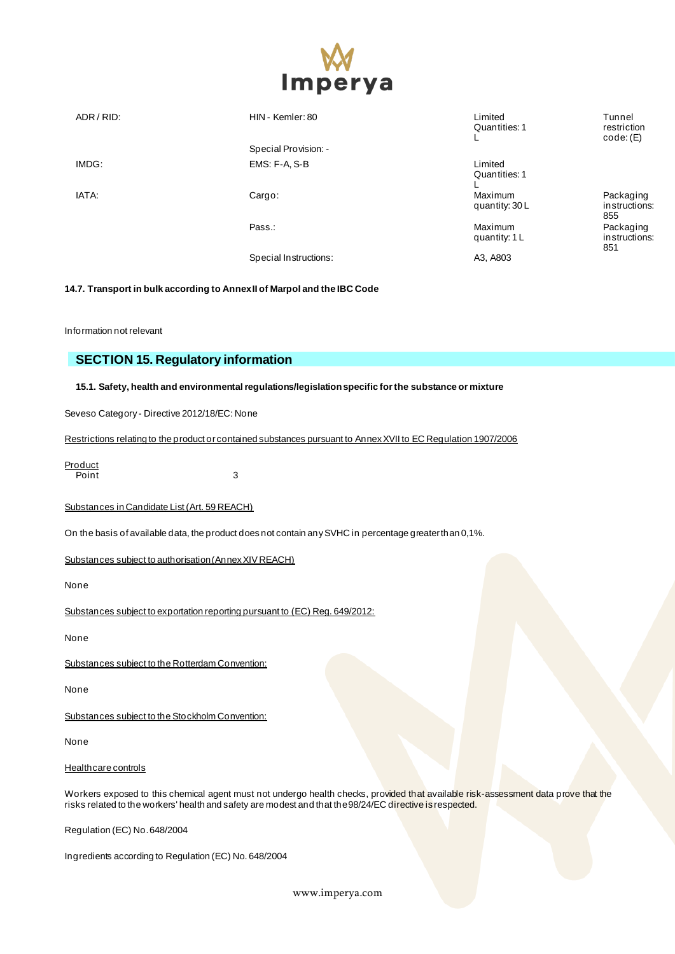

| ADR / RID: | HIN - Kemler: 80<br>Special Provision: - | Limited<br>Quantities: 1  | Tunnel<br>restriction<br>code: (E) |
|------------|------------------------------------------|---------------------------|------------------------------------|
| IMDG:      | EMS: F-A, S-B                            | Limited<br>Quantities: 1  |                                    |
| IATA:      | Cargo:                                   | Maximum<br>quantity: 30 L | Packaging<br>instructions:<br>855  |
|            | Pass.:                                   | Maximum<br>quantity: 1 L  | Packaging<br>instructions:<br>851  |
|            | Special Instructions:                    | A3, A803                  |                                    |

**14.7. Transport in bulk according to Annex II of Marpol and the IBC Code**

Information not relevant

# **SECTION 15. Regulatory information**

**15.1. Safety, health and environmental regulations/legislation specific for the substance or mixture**

Seveso Category - Directive 2012/18/EC: None

Restrictions relating to the product or contained substances pursuant to Annex XVII to EC Regulation 1907/2006

**Product** Point 3

Substances in Candidate List (Art. 59 REACH)

On the basis of available data, the product does not contain any SVHC in percentage greater than 0,1%.

Substances subject to authorisation (Annex XIV REACH)

None

Substances subject to exportation reporting pursuant to (EC) Reg. 649/2012:

None

Substances subject to the Rotterdam Convention:

None

Substances subject to the Stockholm Convention:

None

# Healthcare controls

Workers exposed to this chemical agent must not undergo health checks, provided that available risk-assessment data prove that the risks related to the workers' health and safety are modest and that the 98/24/EC directive is respected.

Regulation (EC) No. 648/2004

Ingredients according to Regulation (EC) No. 648/2004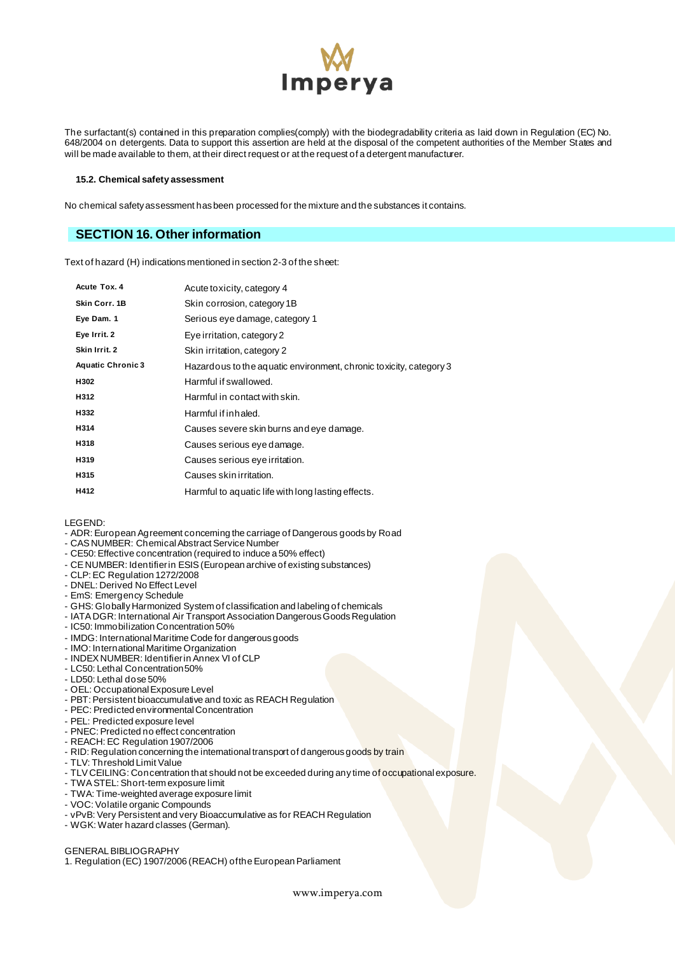

The surfactant(s) contained in this preparation complies(comply) with the biodegradability criteria as laid down in Regulation (EC) No. 648/2004 on detergents. Data to support this assertion are held at the disposal of the competent authorities of the Member States and will be made available to them, at their direct request or at the request of a detergent manufacturer.

#### **15.2. Chemical safety assessment**

No chemical safety assessment has been processed for the mixture and the substances it contains.

# **SECTION 16. Other information**

Text of hazard (H) indications mentioned in section 2-3 of the sheet:

| Acute Tox. 4             | Acute to xicity, category 4                                        |
|--------------------------|--------------------------------------------------------------------|
| Skin Corr. 1B            | Skin corrosion, category 1B                                        |
| Eye Dam. 1               | Serious eye damage, category 1                                     |
| Eye Irrit. 2             | Eye irritation, category 2                                         |
| Skin Irrit. 2            | Skin irritation, category 2                                        |
| <b>Aquatic Chronic 3</b> | Hazardous to the aquatic environment, chronic toxicity, category 3 |
| H302                     | Harmful if swallowed.                                              |
| H312                     | Harmful in contact with skin.                                      |
| H332                     | Harmful if inhaled.                                                |
| H314                     | Causes severe skin burns and eye damage.                           |
| H318                     | Causes serious eye damage.                                         |
| H319                     | Causes serious eye irritation.                                     |
| H315                     | Causes skin irritation.                                            |
| H412                     | Harmful to aquatic life with long lasting effects.                 |
|                          |                                                                    |

#### LEGEND:

- ADR: European Agreement concerning the carriage of Dangerous goods by Road
- CAS NUMBER: Chemical Abstract Service Number
- CE50: Effective concentration (required to induce a 50% effect)
- CE NUMBER: Identifier in ESIS (European archive of existing substances)
- CLP: EC Regulation 1272/2008
- DNEL: Derived No Effect Level
- EmS: Emergency Schedule
- GHS: Globally Harmonized System of classification and labeling of chemicals
- IATA DGR: International Air Transport Association Dangerous Goods Regulation
- IC50: Immobilization Concentration 50%
- IMDG: International Maritime Code for dangerous goods
- IMO: International Maritime Organization
- INDEX NUMBER: Identifier in Annex VI of CLP
- LC50: Lethal Concentration 50%
- LD50: Lethal dose 50%
- OEL: Occupational Exposure Level
- PBT: Persistent bioaccumulative and toxic as REACH Regulation
- PEC: Predicted environmental Concentration
- PEL: Predicted exposure level
- PNEC: Predicted no effect concentration
- REACH: EC Regulation 1907/2006
- RID: Regulation concerning the international transport of dangerous goods by train
- TLV: Threshold Limit Value
- TLV CEILING: Concentration that should not be exceeded during any time of occupational exposure.
- TWA STEL: Short-term exposure limit
- TWA: Time-weighted average exposure limit
- VOC: Volatile organic Compounds
- vPvB: Very Persistent and very Bioaccumulative as for REACH Regulation
- WGK: Water hazard classes (German).

#### GENERAL BIBLIOGRAPHY

1. Regulation (EC) 1907/2006 (REACH) of the European Parliament